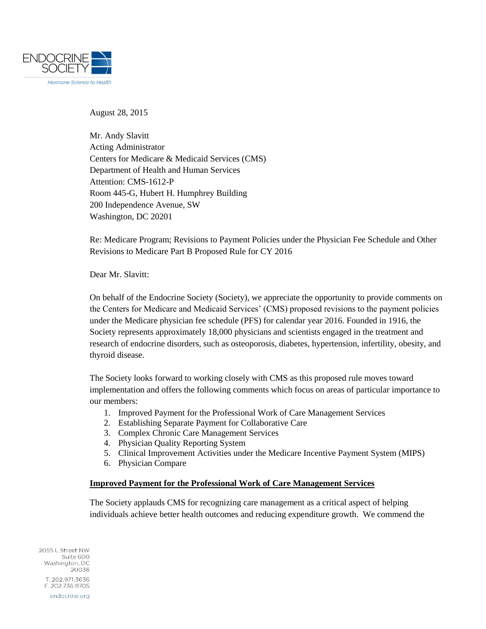

August 28, 2015

Mr. Andy Slavitt Acting Administrator Centers for Medicare & Medicaid Services (CMS) Department of Health and Human Services Attention: CMS-1612-P Room 445-G, Hubert H. Humphrey Building 200 Independence Avenue, SW Washington, DC 20201

Re: Medicare Program; Revisions to Payment Policies under the Physician Fee Schedule and Other Revisions to Medicare Part B Proposed Rule for CY 2016

Dear Mr. Slavitt:

On behalf of the Endocrine Society (Society), we appreciate the opportunity to provide comments on the Centers for Medicare and Medicaid Services' (CMS) proposed revisions to the payment policies under the Medicare physician fee schedule (PFS) for calendar year 2016. Founded in 1916, the Society represents approximately 18,000 physicians and scientists engaged in the treatment and research of endocrine disorders, such as osteoporosis, diabetes, hypertension, infertility, obesity, and thyroid disease.

The Society looks forward to working closely with CMS as this proposed rule moves toward implementation and offers the following comments which focus on areas of particular importance to our members:

- 1. Improved Payment for the Professional Work of Care Management Services
- 2. Establishing Separate Payment for Collaborative Care
- 3. Complex Chronic Care Management Services
- 4. Physician Quality Reporting System
- 5. Clinical Improvement Activities under the Medicare Incentive Payment System (MIPS)
- 6. Physician Compare

#### **Improved Payment for the Professional Work of Care Management Services**

The Society applauds CMS for recognizing care management as a critical aspect of helping individuals achieve better health outcomes and reducing expenditure growth. We commend the

2055 L Street NW Suite 600 Washington, DC 20036 T. 202.971.3636 F. 202.736.9705 endocrine.org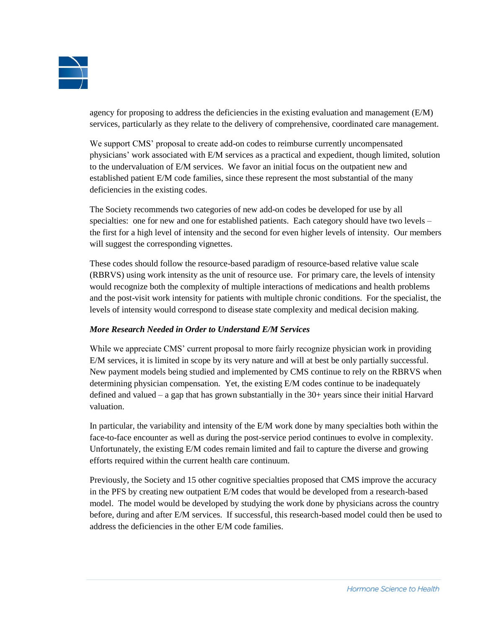

agency for proposing to address the deficiencies in the existing evaluation and management (E/M) services, particularly as they relate to the delivery of comprehensive, coordinated care management.

We support CMS' proposal to create add-on codes to reimburse currently uncompensated physicians' work associated with E/M services as a practical and expedient, though limited, solution to the undervaluation of E/M services. We favor an initial focus on the outpatient new and established patient E/M code families, since these represent the most substantial of the many deficiencies in the existing codes.

The Society recommends two categories of new add-on codes be developed for use by all specialties: one for new and one for established patients. Each category should have two levels – the first for a high level of intensity and the second for even higher levels of intensity. Our members will suggest the corresponding vignettes.

These codes should follow the resource-based paradigm of resource-based relative value scale (RBRVS) using work intensity as the unit of resource use. For primary care, the levels of intensity would recognize both the complexity of multiple interactions of medications and health problems and the post-visit work intensity for patients with multiple chronic conditions. For the specialist, the levels of intensity would correspond to disease state complexity and medical decision making.

# *More Research Needed in Order to Understand E/M Services*

While we appreciate CMS' current proposal to more fairly recognize physician work in providing E/M services, it is limited in scope by its very nature and will at best be only partially successful. New payment models being studied and implemented by CMS continue to rely on the RBRVS when determining physician compensation. Yet, the existing E/M codes continue to be inadequately defined and valued – a gap that has grown substantially in the 30+ years since their initial Harvard valuation.

In particular, the variability and intensity of the E/M work done by many specialties both within the face-to-face encounter as well as during the post-service period continues to evolve in complexity. Unfortunately, the existing E/M codes remain limited and fail to capture the diverse and growing efforts required within the current health care continuum.

Previously, the Society and 15 other cognitive specialties proposed that CMS improve the accuracy in the PFS by creating new outpatient E/M codes that would be developed from a research-based model. The model would be developed by studying the work done by physicians across the country before, during and after E/M services. If successful, this research-based model could then be used to address the deficiencies in the other E/M code families.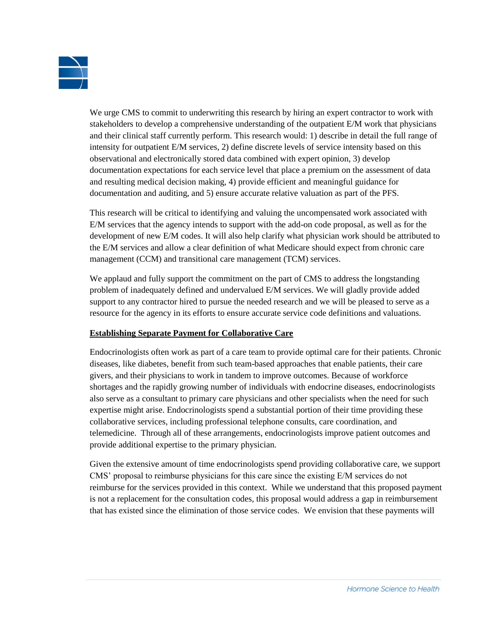

We urge CMS to commit to underwriting this research by hiring an expert contractor to work with stakeholders to develop a comprehensive understanding of the outpatient E/M work that physicians and their clinical staff currently perform. This research would: 1) describe in detail the full range of intensity for outpatient E/M services, 2) define discrete levels of service intensity based on this observational and electronically stored data combined with expert opinion, 3) develop documentation expectations for each service level that place a premium on the assessment of data and resulting medical decision making, 4) provide efficient and meaningful guidance for documentation and auditing, and 5) ensure accurate relative valuation as part of the PFS.

This research will be critical to identifying and valuing the uncompensated work associated with E/M services that the agency intends to support with the add-on code proposal, as well as for the development of new E/M codes. It will also help clarify what physician work should be attributed to the E/M services and allow a clear definition of what Medicare should expect from chronic care management (CCM) and transitional care management (TCM) services.

We applaud and fully support the commitment on the part of CMS to address the longstanding problem of inadequately defined and undervalued E/M services. We will gladly provide added support to any contractor hired to pursue the needed research and we will be pleased to serve as a resource for the agency in its efforts to ensure accurate service code definitions and valuations.

## **Establishing Separate Payment for Collaborative Care**

Endocrinologists often work as part of a care team to provide optimal care for their patients. Chronic diseases, like diabetes, benefit from such team-based approaches that enable patients, their care givers, and their physicians to work in tandem to improve outcomes. Because of workforce shortages and the rapidly growing number of individuals with endocrine diseases, endocrinologists also serve as a consultant to primary care physicians and other specialists when the need for such expertise might arise. Endocrinologists spend a substantial portion of their time providing these collaborative services, including professional telephone consults, care coordination, and telemedicine. Through all of these arrangements, endocrinologists improve patient outcomes and provide additional expertise to the primary physician.

Given the extensive amount of time endocrinologists spend providing collaborative care, we support CMS' proposal to reimburse physicians for this care since the existing E/M services do not reimburse for the services provided in this context. While we understand that this proposed payment is not a replacement for the consultation codes, this proposal would address a gap in reimbursement that has existed since the elimination of those service codes. We envision that these payments will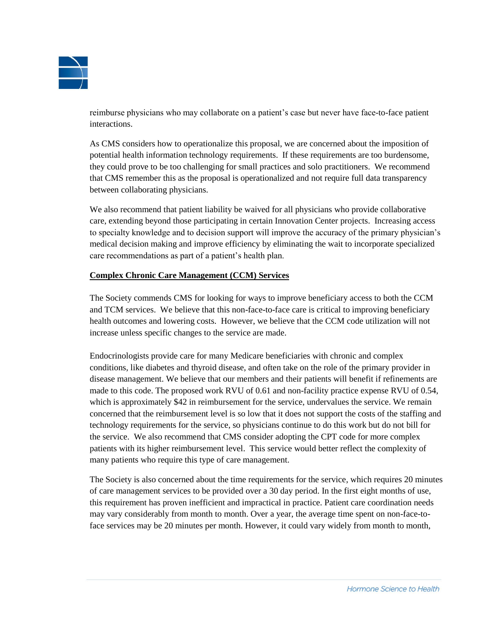

reimburse physicians who may collaborate on a patient's case but never have face-to-face patient interactions.

As CMS considers how to operationalize this proposal, we are concerned about the imposition of potential health information technology requirements. If these requirements are too burdensome, they could prove to be too challenging for small practices and solo practitioners. We recommend that CMS remember this as the proposal is operationalized and not require full data transparency between collaborating physicians.

We also recommend that patient liability be waived for all physicians who provide collaborative care, extending beyond those participating in certain Innovation Center projects. Increasing access to specialty knowledge and to decision support will improve the accuracy of the primary physician's medical decision making and improve efficiency by eliminating the wait to incorporate specialized care recommendations as part of a patient's health plan.

## **Complex Chronic Care Management (CCM) Services**

The Society commends CMS for looking for ways to improve beneficiary access to both the CCM and TCM services. We believe that this non-face-to-face care is critical to improving beneficiary health outcomes and lowering costs. However, we believe that the CCM code utilization will not increase unless specific changes to the service are made.

Endocrinologists provide care for many Medicare beneficiaries with chronic and complex conditions, like diabetes and thyroid disease, and often take on the role of the primary provider in disease management. We believe that our members and their patients will benefit if refinements are made to this code. The proposed work RVU of 0.61 and non-facility practice expense RVU of 0.54, which is approximately \$42 in reimbursement for the service, undervalues the service. We remain concerned that the reimbursement level is so low that it does not support the costs of the staffing and technology requirements for the service, so physicians continue to do this work but do not bill for the service. We also recommend that CMS consider adopting the CPT code for more complex patients with its higher reimbursement level. This service would better reflect the complexity of many patients who require this type of care management.

The Society is also concerned about the time requirements for the service, which requires 20 minutes of care management services to be provided over a 30 day period. In the first eight months of use, this requirement has proven inefficient and impractical in practice. Patient care coordination needs may vary considerably from month to month. Over a year, the average time spent on non-face-toface services may be 20 minutes per month. However, it could vary widely from month to month,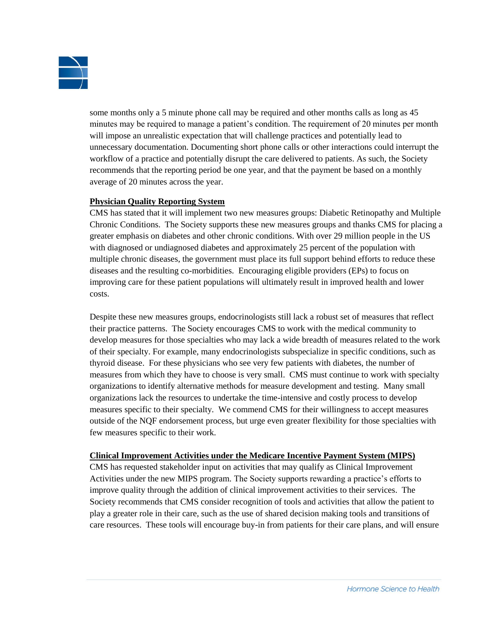

some months only a 5 minute phone call may be required and other months calls as long as 45 minutes may be required to manage a patient's condition. The requirement of 20 minutes per month will impose an unrealistic expectation that will challenge practices and potentially lead to unnecessary documentation. Documenting short phone calls or other interactions could interrupt the workflow of a practice and potentially disrupt the care delivered to patients. As such, the Society recommends that the reporting period be one year, and that the payment be based on a monthly average of 20 minutes across the year.

## **Physician Quality Reporting System**

CMS has stated that it will implement two new measures groups: Diabetic Retinopathy and Multiple Chronic Conditions. The Society supports these new measures groups and thanks CMS for placing a greater emphasis on diabetes and other chronic conditions. With over 29 million people in the US with diagnosed or undiagnosed diabetes and approximately 25 percent of the population with multiple chronic diseases, the government must place its full support behind efforts to reduce these diseases and the resulting co-morbidities. Encouraging eligible providers (EPs) to focus on improving care for these patient populations will ultimately result in improved health and lower costs.

Despite these new measures groups, endocrinologists still lack a robust set of measures that reflect their practice patterns. The Society encourages CMS to work with the medical community to develop measures for those specialties who may lack a wide breadth of measures related to the work of their specialty. For example, many endocrinologists subspecialize in specific conditions, such as thyroid disease. For these physicians who see very few patients with diabetes, the number of measures from which they have to choose is very small. CMS must continue to work with specialty organizations to identify alternative methods for measure development and testing. Many small organizations lack the resources to undertake the time-intensive and costly process to develop measures specific to their specialty. We commend CMS for their willingness to accept measures outside of the NQF endorsement process, but urge even greater flexibility for those specialties with few measures specific to their work.

## **Clinical Improvement Activities under the Medicare Incentive Payment System (MIPS)**

CMS has requested stakeholder input on activities that may qualify as Clinical Improvement Activities under the new MIPS program. The Society supports rewarding a practice's efforts to improve quality through the addition of clinical improvement activities to their services. The Society recommends that CMS consider recognition of tools and activities that allow the patient to play a greater role in their care, such as the use of shared decision making tools and transitions of care resources. These tools will encourage buy-in from patients for their care plans, and will ensure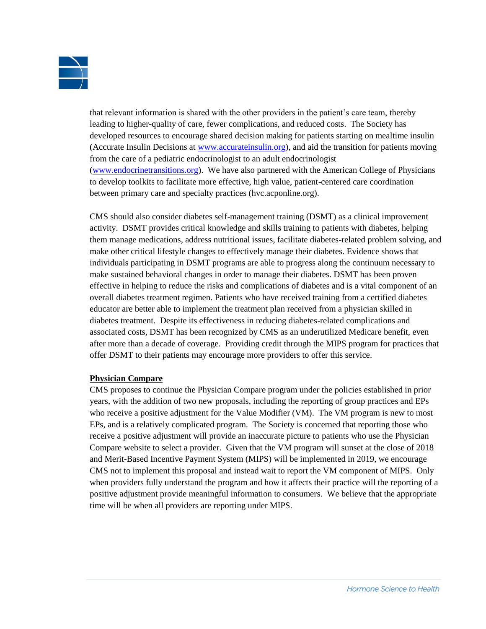

that relevant information is shared with the other providers in the patient's care team, thereby leading to higher-quality of care, fewer complications, and reduced costs. The Society has developed resources to encourage shared decision making for patients starting on mealtime insulin (Accurate Insulin Decisions at [www.accurateinsulin.org\)](http://www.accurateinsulin.org/), and aid the transition for patients moving from the care of a pediatric endocrinologist to an adult endocrinologist [\(www.endocrinetransitions.org\)](http://www.endocrinetransitions.org/). We have also partnered with the American College of Physicians to develop toolkits to facilitate more effective, high value, patient-centered care coordination between primary care and specialty practices (hvc.acponline.org).

CMS should also consider diabetes self-management training (DSMT) as a clinical improvement activity. DSMT provides critical knowledge and skills training to patients with diabetes, helping them manage medications, address nutritional issues, facilitate diabetes-related problem solving, and make other critical lifestyle changes to effectively manage their diabetes. Evidence shows that individuals participating in DSMT programs are able to progress along the continuum necessary to make sustained behavioral changes in order to manage their diabetes. DSMT has been proven effective in helping to reduce the risks and complications of diabetes and is a vital component of an overall diabetes treatment regimen. Patients who have received training from a certified diabetes educator are better able to implement the treatment plan received from a physician skilled in diabetes treatment. Despite its effectiveness in reducing diabetes-related complications and associated costs, DSMT has been recognized by CMS as an underutilized Medicare benefit, even after more than a decade of coverage. Providing credit through the MIPS program for practices that offer DSMT to their patients may encourage more providers to offer this service.

## **Physician Compare**

CMS proposes to continue the Physician Compare program under the policies established in prior years, with the addition of two new proposals, including the reporting of group practices and EPs who receive a positive adjustment for the Value Modifier (VM). The VM program is new to most EPs, and is a relatively complicated program. The Society is concerned that reporting those who receive a positive adjustment will provide an inaccurate picture to patients who use the Physician Compare website to select a provider. Given that the VM program will sunset at the close of 2018 and Merit-Based Incentive Payment System (MIPS) will be implemented in 2019, we encourage CMS not to implement this proposal and instead wait to report the VM component of MIPS. Only when providers fully understand the program and how it affects their practice will the reporting of a positive adjustment provide meaningful information to consumers. We believe that the appropriate time will be when all providers are reporting under MIPS.